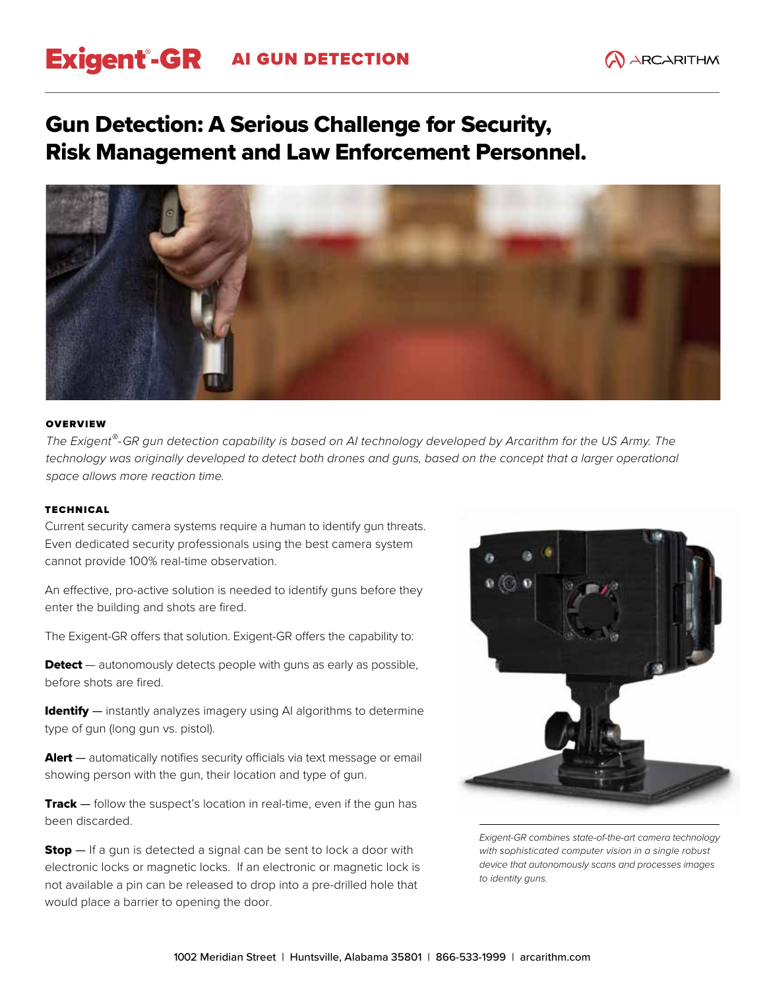## Exigent®-GR AI GUN DETECTION

### Gun Detection: A Serious Challenge for Security, Risk Management and Law Enforcement Personnel.



#### **OVERVIEW**

*The Exigent®-GR gun detection capability is based on AI technology developed by Arcarithm for the US Army. The*  technology was originally developed to detect both drones and guns, based on the concept that a larger operational *space allows more reaction time.*

#### TECHNICAL

Current security camera systems require a human to identify gun threats. Even dedicated security professionals using the best camera system cannot provide 100% real-time observation.

An effective, pro-active solution is needed to identify guns before they enter the building and shots are fired.

The Exigent-GR offers that solution. Exigent-GR offers the capability to:

**Detect** — autonomously detects people with guns as early as possible, before shots are fired.

**Identify** — instantly analyzes imagery using AI algorithms to determine type of gun (long gun vs. pistol).

**Alert** – automatically notifies security officials via text message or email showing person with the gun, their location and type of gun.

Track – follow the suspect's location in real-time, even if the gun has been discarded.

**Stop** — If a gun is detected a signal can be sent to lock a door with electronic locks or magnetic locks. If an electronic or magnetic lock is not available a pin can be released to drop into a pre-drilled hole that would place a barrier to opening the door.



*Exigent-GR combines state-of-the-art camera technology with sophisticated computer vision in a single robust device that autonomously scans and processes images to identity guns.*